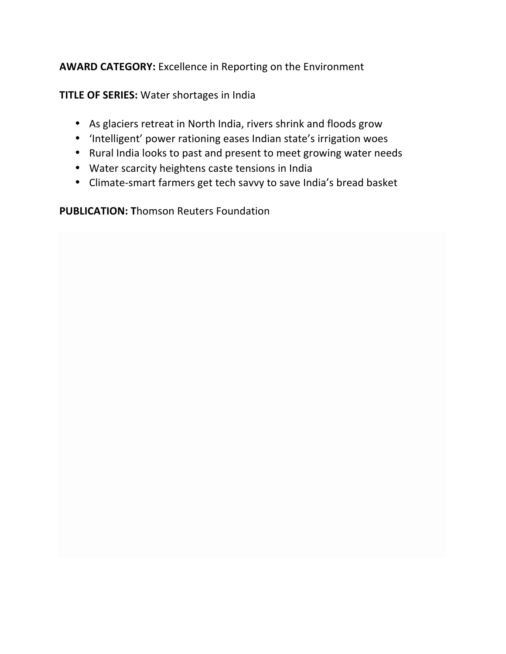### AWARD CATEGORY: Excellence in Reporting on the Environment

**TITLE OF SERIES:** Water shortages in India

- As glaciers retreat in North India, rivers shrink and floods grow
- 'Intelligent' power rationing eases Indian state's irrigation woes
- Rural India looks to past and present to meet growing water needs
- Water scarcity heightens caste tensions in India
- Climate-smart farmers get tech savvy to save India's bread basket

**PUBLICATION: Thomson Reuters Foundation**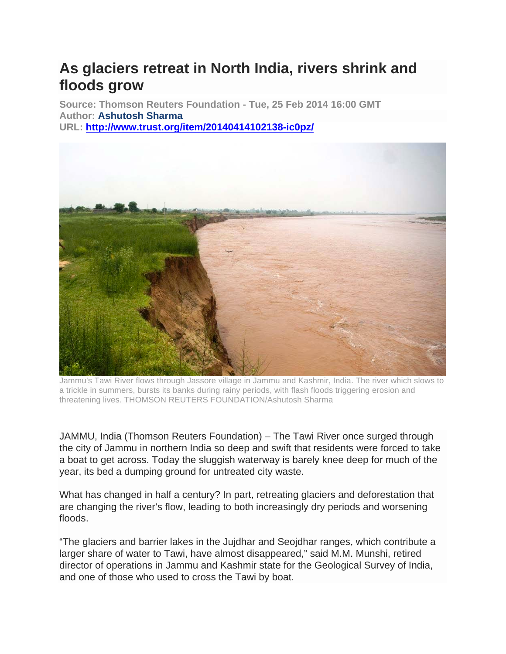# **As glaciers retreat in North India, rivers shrink and floods grow**

**Source: Thomson Reuters Foundation - Tue, 25 Feb 2014 16:00 GMT Author: Ashutosh Sharma URL: http://www.trust.org/item/20140414102138-ic0pz/**



Jammu's Tawi River flows through Jassore village in Jammu and Kashmir, India. The river which slows to a trickle in summers, bursts its banks during rainy periods, with flash floods triggering erosion and threatening lives. THOMSON REUTERS FOUNDATION/Ashutosh Sharma

JAMMU, India (Thomson Reuters Foundation) – The Tawi River once surged through the city of Jammu in northern India so deep and swift that residents were forced to take a boat to get across. Today the sluggish waterway is barely knee deep for much of the year, its bed a dumping ground for untreated city waste.

What has changed in half a century? In part, retreating glaciers and deforestation that are changing the river's flow, leading to both increasingly dry periods and worsening floods.

"The glaciers and barrier lakes in the Jujdhar and Seojdhar ranges, which contribute a larger share of water to Tawi, have almost disappeared," said M.M. Munshi, retired director of operations in Jammu and Kashmir state for the Geological Survey of India, and one of those who used to cross the Tawi by boat.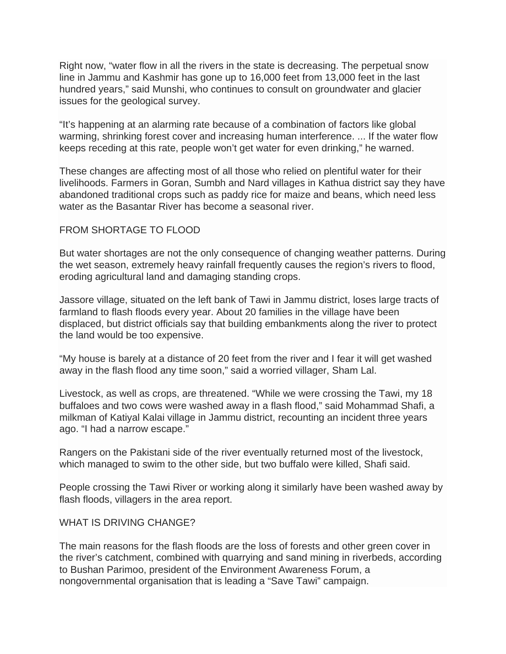Right now, "water flow in all the rivers in the state is decreasing. The perpetual snow line in Jammu and Kashmir has gone up to 16,000 feet from 13,000 feet in the last hundred years," said Munshi, who continues to consult on groundwater and glacier issues for the geological survey.

"It's happening at an alarming rate because of a combination of factors like global warming, shrinking forest cover and increasing human interference. ... If the water flow keeps receding at this rate, people won't get water for even drinking," he warned.

These changes are affecting most of all those who relied on plentiful water for their livelihoods. Farmers in Goran, Sumbh and Nard villages in Kathua district say they have abandoned traditional crops such as paddy rice for maize and beans, which need less water as the Basantar River has become a seasonal river.

#### FROM SHORTAGE TO FLOOD

But water shortages are not the only consequence of changing weather patterns. During the wet season, extremely heavy rainfall frequently causes the region's rivers to flood, eroding agricultural land and damaging standing crops.

Jassore village, situated on the left bank of Tawi in Jammu district, loses large tracts of farmland to flash floods every year. About 20 families in the village have been displaced, but district officials say that building embankments along the river to protect the land would be too expensive.

"My house is barely at a distance of 20 feet from the river and I fear it will get washed away in the flash flood any time soon," said a worried villager, Sham Lal.

Livestock, as well as crops, are threatened. "While we were crossing the Tawi, my 18 buffaloes and two cows were washed away in a flash flood," said Mohammad Shafi, a milkman of Katiyal Kalai village in Jammu district, recounting an incident three years ago. "I had a narrow escape."

Rangers on the Pakistani side of the river eventually returned most of the livestock, which managed to swim to the other side, but two buffalo were killed, Shafi said.

People crossing the Tawi River or working along it similarly have been washed away by flash floods, villagers in the area report.

#### WHAT IS DRIVING CHANGE?

The main reasons for the flash floods are the loss of forests and other green cover in the river's catchment, combined with quarrying and sand mining in riverbeds, according to Bushan Parimoo, president of the Environment Awareness Forum, a nongovernmental organisation that is leading a "Save Tawi" campaign.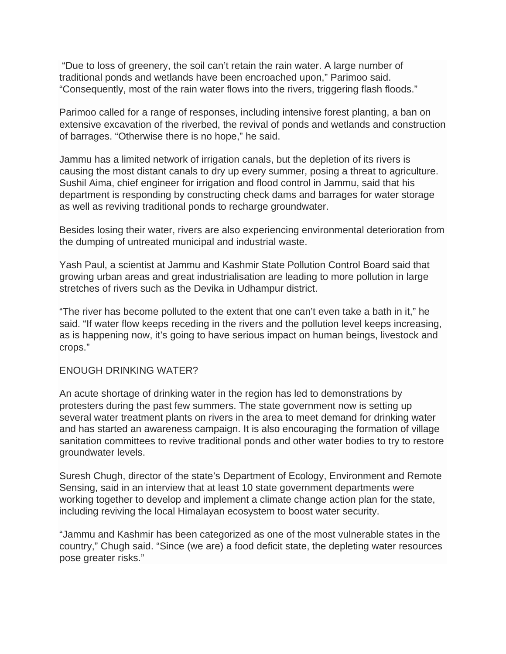"Due to loss of greenery, the soil can't retain the rain water. A large number of traditional ponds and wetlands have been encroached upon," Parimoo said. "Consequently, most of the rain water flows into the rivers, triggering flash floods."

Parimoo called for a range of responses, including intensive forest planting, a ban on extensive excavation of the riverbed, the revival of ponds and wetlands and construction of barrages. "Otherwise there is no hope," he said.

Jammu has a limited network of irrigation canals, but the depletion of its rivers is causing the most distant canals to dry up every summer, posing a threat to agriculture. Sushil Aima, chief engineer for irrigation and flood control in Jammu, said that his department is responding by constructing check dams and barrages for water storage as well as reviving traditional ponds to recharge groundwater.

Besides losing their water, rivers are also experiencing environmental deterioration from the dumping of untreated municipal and industrial waste.

Yash Paul, a scientist at Jammu and Kashmir State Pollution Control Board said that growing urban areas and great industrialisation are leading to more pollution in large stretches of rivers such as the Devika in Udhampur district.

"The river has become polluted to the extent that one can't even take a bath in it," he said. "If water flow keeps receding in the rivers and the pollution level keeps increasing, as is happening now, it's going to have serious impact on human beings, livestock and crops."

#### ENOUGH DRINKING WATER?

An acute shortage of drinking water in the region has led to demonstrations by protesters during the past few summers. The state government now is setting up several water treatment plants on rivers in the area to meet demand for drinking water and has started an awareness campaign. It is also encouraging the formation of village sanitation committees to revive traditional ponds and other water bodies to try to restore groundwater levels.

Suresh Chugh, director of the state's Department of Ecology, Environment and Remote Sensing, said in an interview that at least 10 state government departments were working together to develop and implement a climate change action plan for the state, including reviving the local Himalayan ecosystem to boost water security.

"Jammu and Kashmir has been categorized as one of the most vulnerable states in the country," Chugh said. "Since (we are) a food deficit state, the depleting water resources pose greater risks."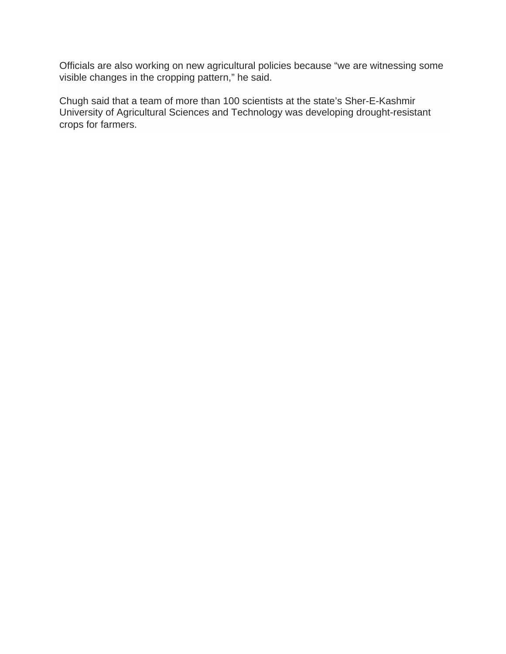Officials are also working on new agricultural policies because "we are witnessing some visible changes in the cropping pattern," he said.

Chugh said that a team of more than 100 scientists at the state's Sher-E-Kashmir University of Agricultural Sciences and Technology was developing drought-resistant crops for farmers.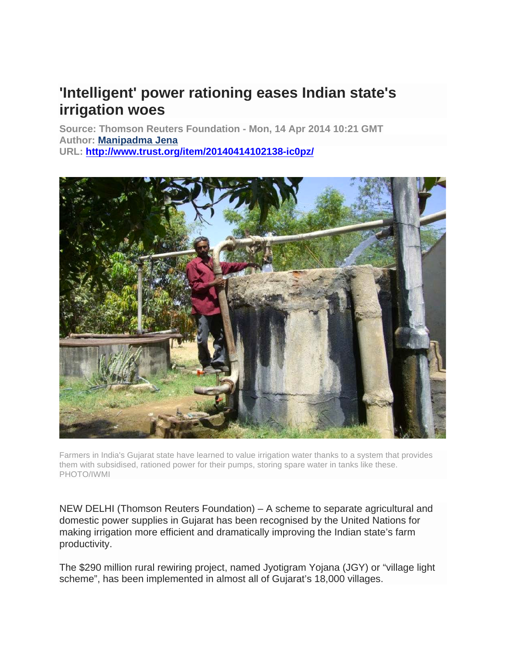## **'Intelligent' power rationing eases Indian state's irrigation woes**

**Source: Thomson Reuters Foundation - Mon, 14 Apr 2014 10:21 GMT Author: Manipadma Jena URL: http://www.trust.org/item/20140414102138-ic0pz/**



Farmers in India's Gujarat state have learned to value irrigation water thanks to a system that provides them with subsidised, rationed power for their pumps, storing spare water in tanks like these. PHOTO/IWMI

NEW DELHI (Thomson Reuters Foundation) – A scheme to separate agricultural and domestic power supplies in Gujarat has been recognised by the United Nations for making irrigation more efficient and dramatically improving the Indian state's farm productivity.

The \$290 million rural rewiring project, named Jyotigram Yojana (JGY) or "village light scheme", has been implemented in almost all of Gujarat's 18,000 villages.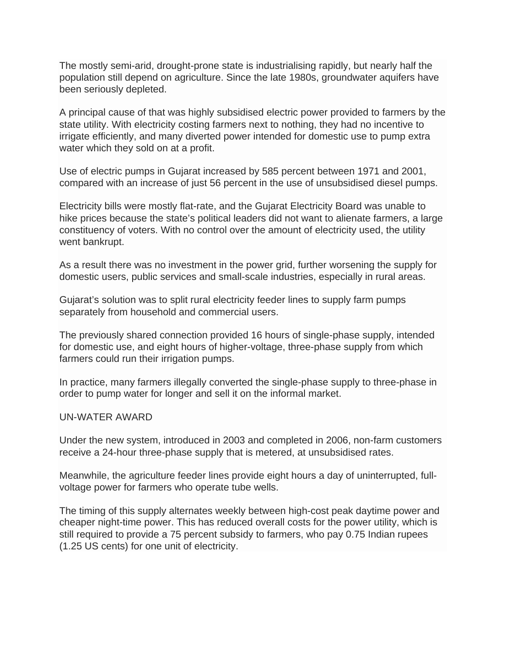The mostly semi-arid, drought-prone state is industrialising rapidly, but nearly half the population still depend on agriculture. Since the late 1980s, groundwater aquifers have been seriously depleted.

A principal cause of that was highly subsidised electric power provided to farmers by the state utility. With electricity costing farmers next to nothing, they had no incentive to irrigate efficiently, and many diverted power intended for domestic use to pump extra water which they sold on at a profit.

Use of electric pumps in Gujarat increased by 585 percent between 1971 and 2001, compared with an increase of just 56 percent in the use of unsubsidised diesel pumps.

Electricity bills were mostly flat-rate, and the Gujarat Electricity Board was unable to hike prices because the state's political leaders did not want to alienate farmers, a large constituency of voters. With no control over the amount of electricity used, the utility went bankrupt.

As a result there was no investment in the power grid, further worsening the supply for domestic users, public services and small-scale industries, especially in rural areas.

Gujarat's solution was to split rural electricity feeder lines to supply farm pumps separately from household and commercial users.

The previously shared connection provided 16 hours of single-phase supply, intended for domestic use, and eight hours of higher-voltage, three-phase supply from which farmers could run their irrigation pumps.

In practice, many farmers illegally converted the single-phase supply to three-phase in order to pump water for longer and sell it on the informal market.

#### UN-WATER AWARD

Under the new system, introduced in 2003 and completed in 2006, non-farm customers receive a 24-hour three-phase supply that is metered, at unsubsidised rates.

Meanwhile, the agriculture feeder lines provide eight hours a day of uninterrupted, fullvoltage power for farmers who operate tube wells.

The timing of this supply alternates weekly between high-cost peak daytime power and cheaper night-time power. This has reduced overall costs for the power utility, which is still required to provide a 75 percent subsidy to farmers, who pay 0.75 Indian rupees (1.25 US cents) for one unit of electricity.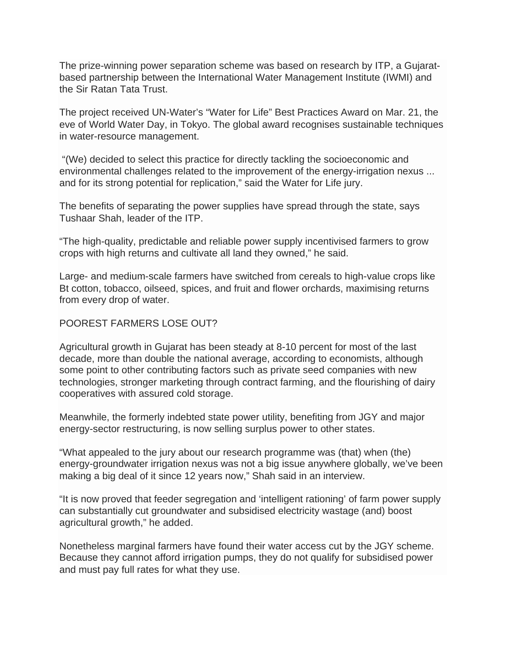The prize-winning power separation scheme was based on research by ITP, a Gujaratbased partnership between the International Water Management Institute (IWMI) and the Sir Ratan Tata Trust.

The project received UN-Water's "Water for Life" Best Practices Award on Mar. 21, the eve of World Water Day, in Tokyo. The global award recognises sustainable techniques in water-resource management.

"(We) decided to select this practice for directly tackling the socioeconomic and environmental challenges related to the improvement of the energy-irrigation nexus ... and for its strong potential for replication," said the Water for Life jury.

The benefits of separating the power supplies have spread through the state, says Tushaar Shah, leader of the ITP.

"The high-quality, predictable and reliable power supply incentivised farmers to grow crops with high returns and cultivate all land they owned," he said.

Large- and medium-scale farmers have switched from cereals to high-value crops like Bt cotton, tobacco, oilseed, spices, and fruit and flower orchards, maximising returns from every drop of water.

#### POOREST FARMERS LOSE OUT?

Agricultural growth in Gujarat has been steady at 8-10 percent for most of the last decade, more than double the national average, according to economists, although some point to other contributing factors such as private seed companies with new technologies, stronger marketing through contract farming, and the flourishing of dairy cooperatives with assured cold storage.

Meanwhile, the formerly indebted state power utility, benefiting from JGY and major energy-sector restructuring, is now selling surplus power to other states.

"What appealed to the jury about our research programme was (that) when (the) energy-groundwater irrigation nexus was not a big issue anywhere globally, we've been making a big deal of it since 12 years now," Shah said in an interview.

"It is now proved that feeder segregation and 'intelligent rationing' of farm power supply can substantially cut groundwater and subsidised electricity wastage (and) boost agricultural growth," he added.

Nonetheless marginal farmers have found their water access cut by the JGY scheme. Because they cannot afford irrigation pumps, they do not qualify for subsidised power and must pay full rates for what they use.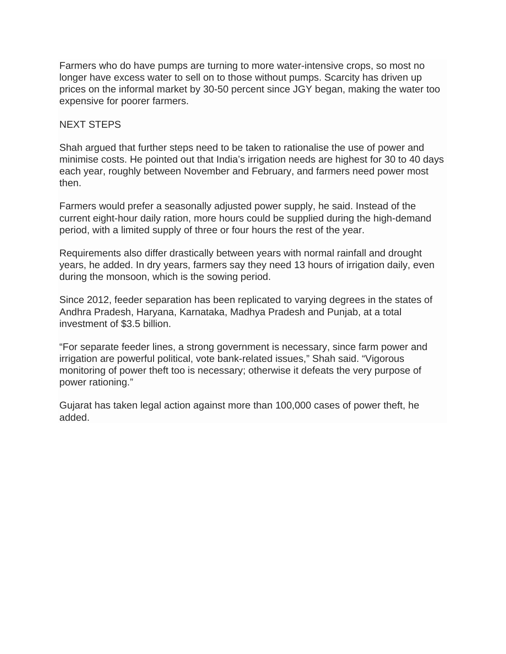Farmers who do have pumps are turning to more water-intensive crops, so most no longer have excess water to sell on to those without pumps. Scarcity has driven up prices on the informal market by 30-50 percent since JGY began, making the water too expensive for poorer farmers.

#### NEXT STEPS

Shah argued that further steps need to be taken to rationalise the use of power and minimise costs. He pointed out that India's irrigation needs are highest for 30 to 40 days each year, roughly between November and February, and farmers need power most then.

Farmers would prefer a seasonally adjusted power supply, he said. Instead of the current eight-hour daily ration, more hours could be supplied during the high-demand period, with a limited supply of three or four hours the rest of the year.

Requirements also differ drastically between years with normal rainfall and drought years, he added. In dry years, farmers say they need 13 hours of irrigation daily, even during the monsoon, which is the sowing period.

Since 2012, feeder separation has been replicated to varying degrees in the states of Andhra Pradesh, Haryana, Karnataka, Madhya Pradesh and Punjab, at a total investment of \$3.5 billion.

"For separate feeder lines, a strong government is necessary, since farm power and irrigation are powerful political, vote bank-related issues," Shah said. "Vigorous monitoring of power theft too is necessary; otherwise it defeats the very purpose of power rationing."

Gujarat has taken legal action against more than 100,000 cases of power theft, he added.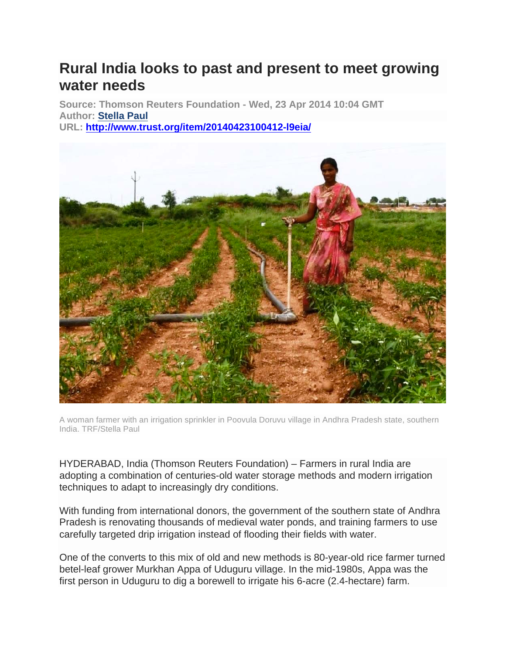# **Rural India looks to past and present to meet growing water needs**

**Source: Thomson Reuters Foundation - Wed, 23 Apr 2014 10:04 GMT Author: Stella Paul URL: http://www.trust.org/item/20140423100412-l9eia/**



A woman farmer with an irrigation sprinkler in Poovula Doruvu village in Andhra Pradesh state, southern India. TRF/Stella Paul

HYDERABAD, India (Thomson Reuters Foundation) – Farmers in rural India are adopting a combination of centuries-old water storage methods and modern irrigation techniques to adapt to increasingly dry conditions.

With funding from international donors, the government of the southern state of Andhra Pradesh is renovating thousands of medieval water ponds, and training farmers to use carefully targeted drip irrigation instead of flooding their fields with water.

One of the converts to this mix of old and new methods is 80-year-old rice farmer turned betel-leaf grower Murkhan Appa of Uduguru village. In the mid-1980s, Appa was the first person in Uduguru to dig a borewell to irrigate his 6-acre (2.4-hectare) farm.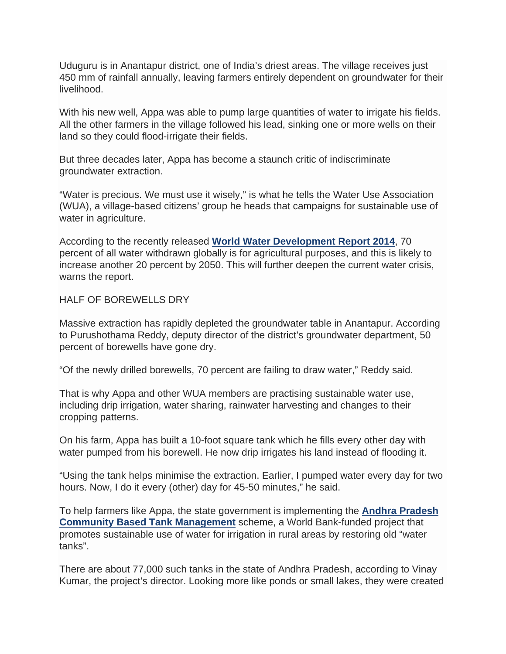Uduguru is in Anantapur district, one of India's driest areas. The village receives just 450 mm of rainfall annually, leaving farmers entirely dependent on groundwater for their livelihood.

With his new well, Appa was able to pump large quantities of water to irrigate his fields. All the other farmers in the village followed his lead, sinking one or more wells on their land so they could flood-irrigate their fields.

But three decades later, Appa has become a staunch critic of indiscriminate groundwater extraction.

"Water is precious. We must use it wisely," is what he tells the Water Use Association (WUA), a village-based citizens' group he heads that campaigns for sustainable use of water in agriculture.

According to the recently released **World Water Development Report 2014**, 70 percent of all water withdrawn globally is for agricultural purposes, and this is likely to increase another 20 percent by 2050. This will further deepen the current water crisis, warns the report.

#### HALF OF BOREWELLS DRY

Massive extraction has rapidly depleted the groundwater table in Anantapur. According to Purushothama Reddy, deputy director of the district's groundwater department, 50 percent of borewells have gone dry.

"Of the newly drilled borewells, 70 percent are failing to draw water," Reddy said.

That is why Appa and other WUA members are practising sustainable water use, including drip irrigation, water sharing, rainwater harvesting and changes to their cropping patterns.

On his farm, Appa has built a 10-foot square tank which he fills every other day with water pumped from his borewell. He now drip irrigates his land instead of flooding it.

"Using the tank helps minimise the extraction. Earlier, I pumped water every day for two hours. Now, I do it every (other) day for 45-50 minutes," he said.

To help farmers like Appa, the state government is implementing the **Andhra Pradesh Community Based Tank Management** scheme, a World Bank-funded project that promotes sustainable use of water for irrigation in rural areas by restoring old "water tanks".

There are about 77,000 such tanks in the state of Andhra Pradesh, according to Vinay Kumar, the project's director. Looking more like ponds or small lakes, they were created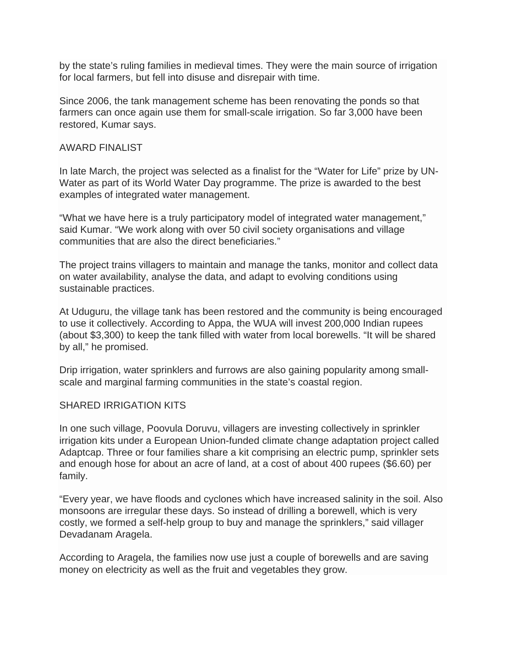by the state's ruling families in medieval times. They were the main source of irrigation for local farmers, but fell into disuse and disrepair with time.

Since 2006, the tank management scheme has been renovating the ponds so that farmers can once again use them for small-scale irrigation. So far 3,000 have been restored, Kumar says.

#### AWARD FINALIST

In late March, the project was selected as a finalist for the "Water for Life" prize by UN-Water as part of its World Water Day programme. The prize is awarded to the best examples of integrated water management.

"What we have here is a truly participatory model of integrated water management," said Kumar. "We work along with over 50 civil society organisations and village communities that are also the direct beneficiaries."

The project trains villagers to maintain and manage the tanks, monitor and collect data on water availability, analyse the data, and adapt to evolving conditions using sustainable practices.

At Uduguru, the village tank has been restored and the community is being encouraged to use it collectively. According to Appa, the WUA will invest 200,000 Indian rupees (about \$3,300) to keep the tank filled with water from local borewells. "It will be shared by all," he promised.

Drip irrigation, water sprinklers and furrows are also gaining popularity among smallscale and marginal farming communities in the state's coastal region.

#### SHARED IRRIGATION KITS

In one such village, Poovula Doruvu, villagers are investing collectively in sprinkler irrigation kits under a European Union-funded climate change adaptation project called Adaptcap. Three or four families share a kit comprising an electric pump, sprinkler sets and enough hose for about an acre of land, at a cost of about 400 rupees (\$6.60) per family.

"Every year, we have floods and cyclones which have increased salinity in the soil. Also monsoons are irregular these days. So instead of drilling a borewell, which is very costly, we formed a self-help group to buy and manage the sprinklers," said villager Devadanam Aragela.

According to Aragela, the families now use just a couple of borewells and are saving money on electricity as well as the fruit and vegetables they grow.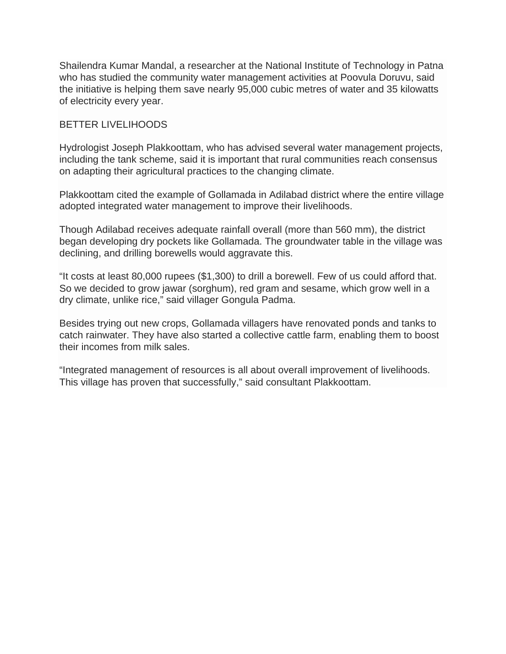Shailendra Kumar Mandal, a researcher at the National Institute of Technology in Patna who has studied the community water management activities at Poovula Doruvu, said the initiative is helping them save nearly 95,000 cubic metres of water and 35 kilowatts of electricity every year.

#### BETTER LIVELIHOODS

Hydrologist Joseph Plakkoottam, who has advised several water management projects, including the tank scheme, said it is important that rural communities reach consensus on adapting their agricultural practices to the changing climate.

Plakkoottam cited the example of Gollamada in Adilabad district where the entire village adopted integrated water management to improve their livelihoods.

Though Adilabad receives adequate rainfall overall (more than 560 mm), the district began developing dry pockets like Gollamada. The groundwater table in the village was declining, and drilling borewells would aggravate this.

"It costs at least 80,000 rupees (\$1,300) to drill a borewell. Few of us could afford that. So we decided to grow jawar (sorghum), red gram and sesame, which grow well in a dry climate, unlike rice," said villager Gongula Padma.

Besides trying out new crops, Gollamada villagers have renovated ponds and tanks to catch rainwater. They have also started a collective cattle farm, enabling them to boost their incomes from milk sales.

"Integrated management of resources is all about overall improvement of livelihoods. This village has proven that successfully," said consultant Plakkoottam.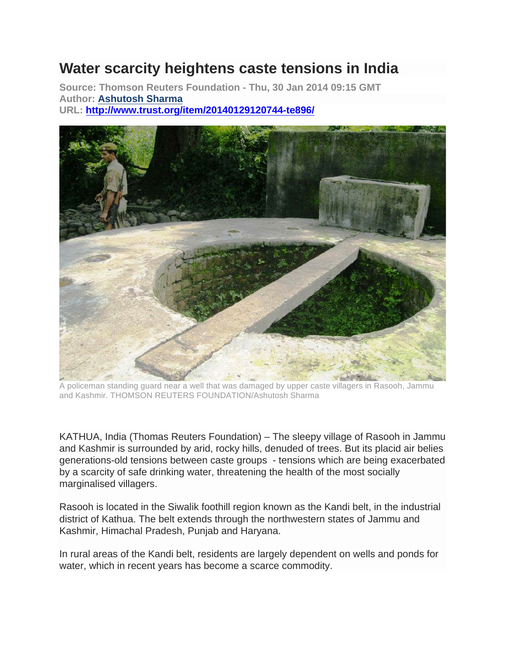## **Water scarcity heightens caste tensions in India**

**Source: Thomson Reuters Foundation - Thu, 30 Jan 2014 09:15 GMT Author: Ashutosh Sharma URL: http://www.trust.org/item/20140129120744-te896/**



A policeman standing guard near a well that was damaged by upper caste villagers in Rasooh, Jammu and Kashmir. THOMSON REUTERS FOUNDATION/Ashutosh Sharma

KATHUA, India (Thomas Reuters Foundation) – The sleepy village of Rasooh in Jammu and Kashmir is surrounded by arid, rocky hills, denuded of trees. But its placid air belies generations-old tensions between caste groups - tensions which are being exacerbated by a scarcity of safe drinking water, threatening the health of the most socially marginalised villagers.

Rasooh is located in the Siwalik foothill region known as the Kandi belt, in the industrial district of Kathua. The belt extends through the northwestern states of Jammu and Kashmir, Himachal Pradesh, Punjab and Haryana.

In rural areas of the Kandi belt, residents are largely dependent on wells and ponds for water, which in recent years has become a scarce commodity.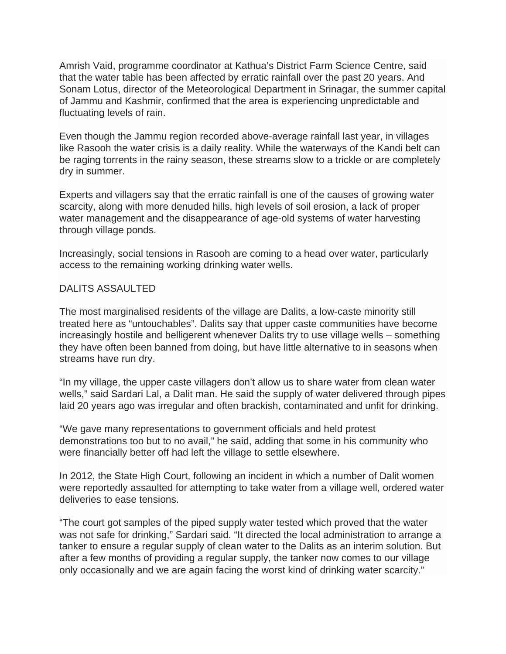Amrish Vaid, programme coordinator at Kathua's District Farm Science Centre, said that the water table has been affected by erratic rainfall over the past 20 years. And Sonam Lotus, director of the Meteorological Department in Srinagar, the summer capital of Jammu and Kashmir, confirmed that the area is experiencing unpredictable and fluctuating levels of rain.

Even though the Jammu region recorded above-average rainfall last year, in villages like Rasooh the water crisis is a daily reality. While the waterways of the Kandi belt can be raging torrents in the rainy season, these streams slow to a trickle or are completely dry in summer.

Experts and villagers say that the erratic rainfall is one of the causes of growing water scarcity, along with more denuded hills, high levels of soil erosion, a lack of proper water management and the disappearance of age-old systems of water harvesting through village ponds.

Increasingly, social tensions in Rasooh are coming to a head over water, particularly access to the remaining working drinking water wells.

#### DALITS ASSAULTED

The most marginalised residents of the village are Dalits, a low-caste minority still treated here as "untouchables". Dalits say that upper caste communities have become increasingly hostile and belligerent whenever Dalits try to use village wells – something they have often been banned from doing, but have little alternative to in seasons when streams have run dry.

"In my village, the upper caste villagers don't allow us to share water from clean water wells," said Sardari Lal, a Dalit man. He said the supply of water delivered through pipes laid 20 years ago was irregular and often brackish, contaminated and unfit for drinking.

"We gave many representations to government officials and held protest demonstrations too but to no avail," he said, adding that some in his community who were financially better off had left the village to settle elsewhere.

In 2012, the State High Court, following an incident in which a number of Dalit women were reportedly assaulted for attempting to take water from a village well, ordered water deliveries to ease tensions.

"The court got samples of the piped supply water tested which proved that the water was not safe for drinking," Sardari said. "It directed the local administration to arrange a tanker to ensure a regular supply of clean water to the Dalits as an interim solution. But after a few months of providing a regular supply, the tanker now comes to our village only occasionally and we are again facing the worst kind of drinking water scarcity."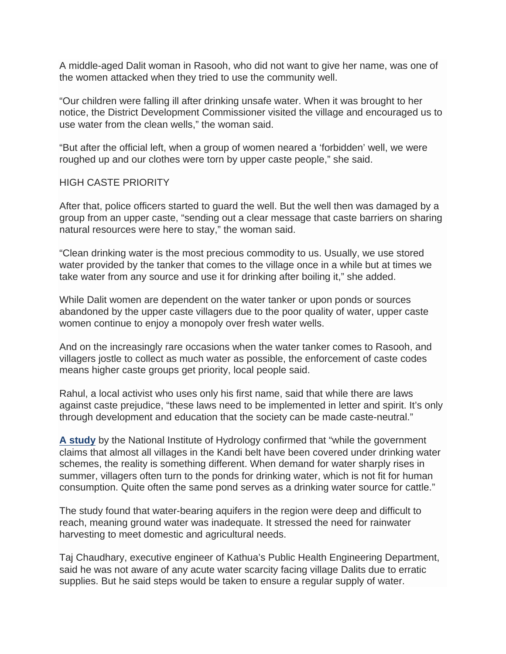A middle-aged Dalit woman in Rasooh, who did not want to give her name, was one of the women attacked when they tried to use the community well.

"Our children were falling ill after drinking unsafe water. When it was brought to her notice, the District Development Commissioner visited the village and encouraged us to use water from the clean wells," the woman said.

"But after the official left, when a group of women neared a 'forbidden' well, we were roughed up and our clothes were torn by upper caste people," she said.

#### HIGH CASTE PRIORITY

After that, police officers started to guard the well. But the well then was damaged by a group from an upper caste, "sending out a clear message that caste barriers on sharing natural resources were here to stay," the woman said.

"Clean drinking water is the most precious commodity to us. Usually, we use stored water provided by the tanker that comes to the village once in a while but at times we take water from any source and use it for drinking after boiling it," she added.

While Dalit women are dependent on the water tanker or upon ponds or sources abandoned by the upper caste villagers due to the poor quality of water, upper caste women continue to enjoy a monopoly over fresh water wells.

And on the increasingly rare occasions when the water tanker comes to Rasooh, and villagers jostle to collect as much water as possible, the enforcement of caste codes means higher caste groups get priority, local people said.

Rahul, a local activist who uses only his first name, said that while there are laws against caste prejudice, "these laws need to be implemented in letter and spirit. It's only through development and education that the society can be made caste-neutral."

**A study** by the National Institute of Hydrology confirmed that "while the government claims that almost all villages in the Kandi belt have been covered under drinking water schemes, the reality is something different. When demand for water sharply rises in summer, villagers often turn to the ponds for drinking water, which is not fit for human consumption. Quite often the same pond serves as a drinking water source for cattle."

The study found that water-bearing aquifers in the region were deep and difficult to reach, meaning ground water was inadequate. It stressed the need for rainwater harvesting to meet domestic and agricultural needs.

Taj Chaudhary, executive engineer of Kathua's Public Health Engineering Department, said he was not aware of any acute water scarcity facing village Dalits due to erratic supplies. But he said steps would be taken to ensure a regular supply of water.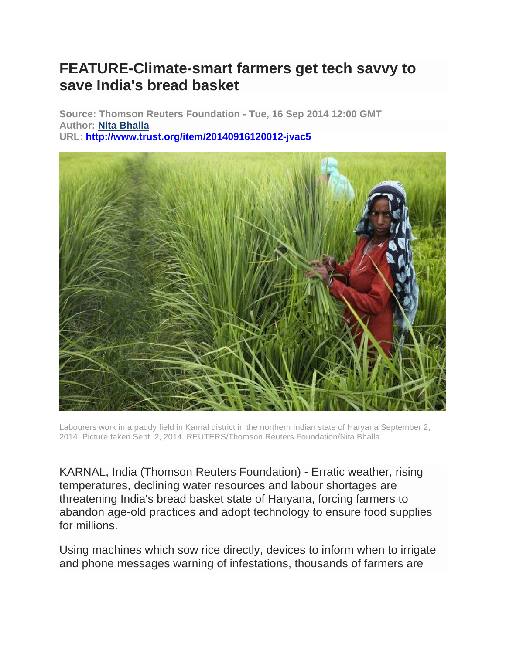## **FEATURE-Climate-smart farmers get tech savvy to save India's bread basket**

**Source: Thomson Reuters Foundation - Tue, 16 Sep 2014 12:00 GMT Author: Nita Bhalla URL: http://www.trust.org/item/20140916120012-jvac5**



Labourers work in a paddy field in Karnal district in the northern Indian state of Haryana September 2, 2014. Picture taken Sept. 2, 2014. REUTERS/Thomson Reuters Foundation/Nita Bhalla

KARNAL, India (Thomson Reuters Foundation) - Erratic weather, rising temperatures, declining water resources and labour shortages are threatening India's bread basket state of Haryana, forcing farmers to abandon age-old practices and adopt technology to ensure food supplies for millions.

Using machines which sow rice directly, devices to inform when to irrigate and phone messages warning of infestations, thousands of farmers are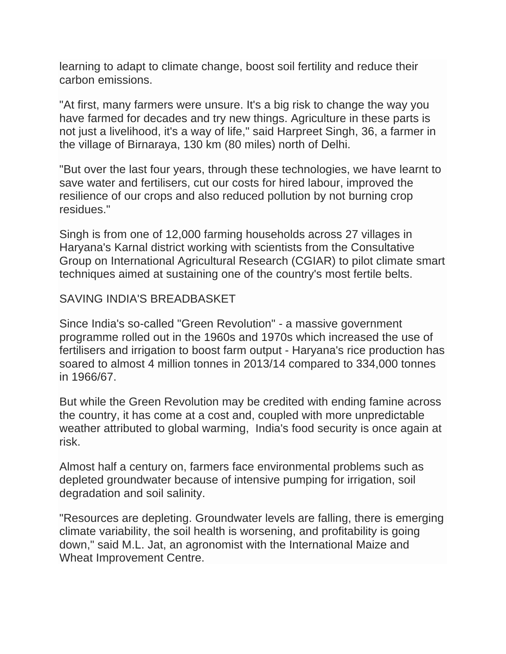learning to adapt to climate change, boost soil fertility and reduce their carbon emissions.

"At first, many farmers were unsure. It's a big risk to change the way you have farmed for decades and try new things. Agriculture in these parts is not just a livelihood, it's a way of life," said Harpreet Singh, 36, a farmer in the village of Birnaraya, 130 km (80 miles) north of Delhi.

"But over the last four years, through these technologies, we have learnt to save water and fertilisers, cut our costs for hired labour, improved the resilience of our crops and also reduced pollution by not burning crop residues."

Singh is from one of 12,000 farming households across 27 villages in Haryana's Karnal district working with scientists from the Consultative Group on International Agricultural Research (CGIAR) to pilot climate smart techniques aimed at sustaining one of the country's most fertile belts.

### SAVING INDIA'S BREADBASKET

Since India's so-called "Green Revolution" - a massive government programme rolled out in the 1960s and 1970s which increased the use of fertilisers and irrigation to boost farm output - Haryana's rice production has soared to almost 4 million tonnes in 2013/14 compared to 334,000 tonnes in 1966/67.

But while the Green Revolution may be credited with ending famine across the country, it has come at a cost and, coupled with more unpredictable weather attributed to global warming, India's food security is once again at risk.

Almost half a century on, farmers face environmental problems such as depleted groundwater because of intensive pumping for irrigation, soil degradation and soil salinity.

"Resources are depleting. Groundwater levels are falling, there is emerging climate variability, the soil health is worsening, and profitability is going down," said M.L. Jat, an agronomist with the International Maize and Wheat Improvement Centre.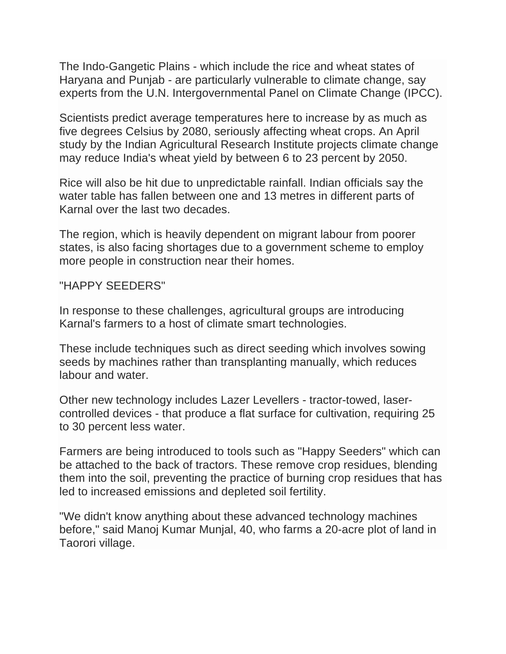The Indo-Gangetic Plains - which include the rice and wheat states of Haryana and Punjab - are particularly vulnerable to climate change, say experts from the U.N. Intergovernmental Panel on Climate Change (IPCC).

Scientists predict average temperatures here to increase by as much as five degrees Celsius by 2080, seriously affecting wheat crops. An April study by the Indian Agricultural Research Institute projects climate change may reduce India's wheat yield by between 6 to 23 percent by 2050.

Rice will also be hit due to unpredictable rainfall. Indian officials say the water table has fallen between one and 13 metres in different parts of Karnal over the last two decades.

The region, which is heavily dependent on migrant labour from poorer states, is also facing shortages due to a government scheme to employ more people in construction near their homes.

### "HAPPY SEEDERS"

In response to these challenges, agricultural groups are introducing Karnal's farmers to a host of climate smart technologies.

These include techniques such as direct seeding which involves sowing seeds by machines rather than transplanting manually, which reduces labour and water.

Other new technology includes Lazer Levellers - tractor-towed, lasercontrolled devices - that produce a flat surface for cultivation, requiring 25 to 30 percent less water.

Farmers are being introduced to tools such as "Happy Seeders" which can be attached to the back of tractors. These remove crop residues, blending them into the soil, preventing the practice of burning crop residues that has led to increased emissions and depleted soil fertility.

"We didn't know anything about these advanced technology machines before," said Manoj Kumar Munjal, 40, who farms a 20-acre plot of land in Taorori village.